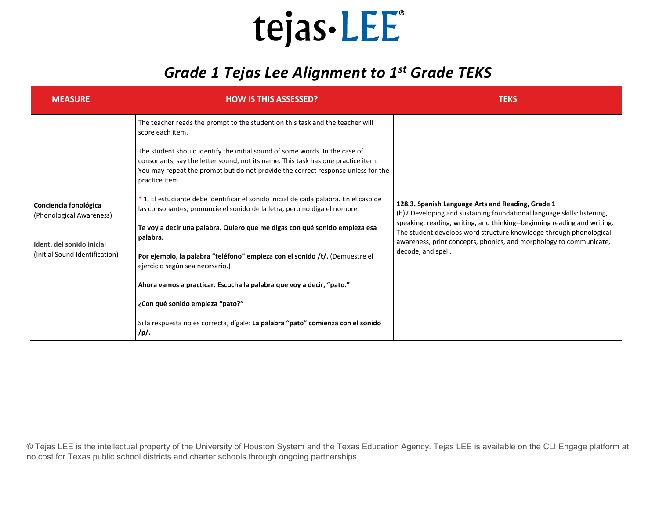#### *Grade 1 Tejas Lee Alignment to 1st Grade TEKS*

| <b>MEASURE</b>                                                                                                   | <b>HOW IS THIS ASSESSED?</b>                                                                                                                                                                                                                                          | <b>TEKS</b>                                                                                                                                                                                                                                                                                                                                                                |
|------------------------------------------------------------------------------------------------------------------|-----------------------------------------------------------------------------------------------------------------------------------------------------------------------------------------------------------------------------------------------------------------------|----------------------------------------------------------------------------------------------------------------------------------------------------------------------------------------------------------------------------------------------------------------------------------------------------------------------------------------------------------------------------|
| Conciencia fonológica<br>(Phonological Awareness)<br>Ident. del sonido inicial<br>(Initial Sound Identification) | The teacher reads the prompt to the student on this task and the teacher will<br>score each item.                                                                                                                                                                     | 128.3. Spanish Language Arts and Reading, Grade 1<br>(b)2 Developing and sustaining foundational language skills: listening,<br>speaking, reading, writing, and thinking--beginning reading and writing.<br>The student develops word structure knowledge through phonological<br>awareness, print concepts, phonics, and morphology to communicate,<br>decode, and spell. |
|                                                                                                                  | The student should identify the initial sound of some words. In the case of<br>consonants, say the letter sound, not its name. This task has one practice item.<br>You may repeat the prompt but do not provide the correct response unless for the<br>practice item. |                                                                                                                                                                                                                                                                                                                                                                            |
|                                                                                                                  | * 1. El estudiante debe identificar el sonido inicial de cada palabra. En el caso de<br>las consonantes, pronuncie el sonido de la letra, pero no diga el nombre.                                                                                                     |                                                                                                                                                                                                                                                                                                                                                                            |
|                                                                                                                  | Te voy a decir una palabra. Quiero que me digas con qué sonido empieza esa<br>palabra.                                                                                                                                                                                |                                                                                                                                                                                                                                                                                                                                                                            |
|                                                                                                                  | Por ejemplo, la palabra "teléfono" empieza con el sonido /t/. (Demuestre el<br>ejercicio según sea necesario.)                                                                                                                                                        |                                                                                                                                                                                                                                                                                                                                                                            |
|                                                                                                                  | Ahora vamos a practicar. Escucha la palabra que voy a decir, "pato."                                                                                                                                                                                                  |                                                                                                                                                                                                                                                                                                                                                                            |
|                                                                                                                  | ¿Con qué sonido empieza "pato?"                                                                                                                                                                                                                                       |                                                                                                                                                                                                                                                                                                                                                                            |
|                                                                                                                  | Si la respuesta no es correcta, dígale: La palabra "pato" comienza con el sonido<br>/p/.                                                                                                                                                                              |                                                                                                                                                                                                                                                                                                                                                                            |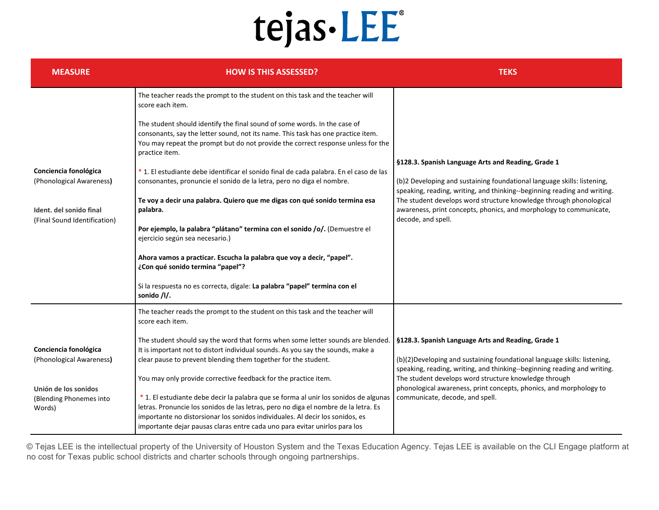| <b>MEASURE</b>                                            | <b>HOW IS THIS ASSESSED?</b>                                                                                                                                                                                                                                                                                                                                                                                 | <b>TEKS</b>                                                                                                                                                                                                 |
|-----------------------------------------------------------|--------------------------------------------------------------------------------------------------------------------------------------------------------------------------------------------------------------------------------------------------------------------------------------------------------------------------------------------------------------------------------------------------------------|-------------------------------------------------------------------------------------------------------------------------------------------------------------------------------------------------------------|
|                                                           | The teacher reads the prompt to the student on this task and the teacher will<br>score each item.                                                                                                                                                                                                                                                                                                            |                                                                                                                                                                                                             |
|                                                           | The student should identify the final sound of some words. In the case of<br>consonants, say the letter sound, not its name. This task has one practice item.<br>You may repeat the prompt but do not provide the correct response unless for the<br>practice item.                                                                                                                                          | §128.3. Spanish Language Arts and Reading, Grade 1                                                                                                                                                          |
| Conciencia fonológica<br>(Phonological Awareness)         | * 1. El estudiante debe identificar el sonido final de cada palabra. En el caso de las<br>consonantes, pronuncie el sonido de la letra, pero no diga el nombre.                                                                                                                                                                                                                                              | (b)2 Developing and sustaining foundational language skills: listening,<br>speaking, reading, writing, and thinking--beginning reading and writing.                                                         |
| Ident. del sonido final<br>(Final Sound Identification)   | Te voy a decir una palabra. Quiero que me digas con qué sonido termina esa<br>palabra.                                                                                                                                                                                                                                                                                                                       | The student develops word structure knowledge through phonological<br>awareness, print concepts, phonics, and morphology to communicate,<br>decode, and spell.                                              |
|                                                           | Por ejemplo, la palabra "plátano" termina con el sonido /o/. (Demuestre el<br>ejercicio según sea necesario.)                                                                                                                                                                                                                                                                                                |                                                                                                                                                                                                             |
|                                                           | Ahora vamos a practicar. Escucha la palabra que voy a decir, "papel".<br>¿Con qué sonido termina "papel"?                                                                                                                                                                                                                                                                                                    |                                                                                                                                                                                                             |
|                                                           | Si la respuesta no es correcta, dígale: La palabra "papel" termina con el<br>sonido /l/.                                                                                                                                                                                                                                                                                                                     |                                                                                                                                                                                                             |
|                                                           | The teacher reads the prompt to the student on this task and the teacher will<br>score each item.                                                                                                                                                                                                                                                                                                            |                                                                                                                                                                                                             |
| Conciencia fonológica<br>(Phonological Awareness)         | The student should say the word that forms when some letter sounds are blended.<br>It is important not to distort individual sounds. As you say the sounds, make a<br>clear pause to prevent blending them together for the student.                                                                                                                                                                         | §128.3. Spanish Language Arts and Reading, Grade 1<br>(b)(2) Developing and sustaining foundational language skills: listening,<br>speaking, reading, writing, and thinking--beginning reading and writing. |
| Unión de los sonidos<br>(Blending Phonemes into<br>Words) | You may only provide corrective feedback for the practice item.<br>*1. El estudiante debe decir la palabra que se forma al unir los sonidos de algunas<br>letras. Pronuncie los sonidos de las letras, pero no diga el nombre de la letra. Es<br>importante no distorsionar los sonidos individuales. Al decir los sonidos, es<br>importante dejar pausas claras entre cada uno para evitar unirlos para los | The student develops word structure knowledge through<br>phonological awareness, print concepts, phonics, and morphology to<br>communicate, decode, and spell.                                              |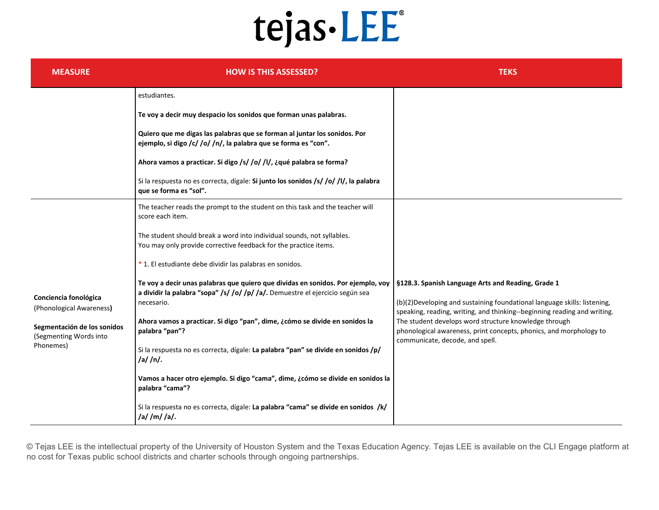| <b>MEASURE</b>                                                                                                          | <b>HOW IS THIS ASSESSED?</b>                                                                                                                                                                                                                                                                                                                                                                                                                                                                                                                                                                                                                                                                                                                                                                                                                                                                              | <b>TEKS</b>                                                                                                                                                                                                                                                                                                                                                                   |
|-------------------------------------------------------------------------------------------------------------------------|-----------------------------------------------------------------------------------------------------------------------------------------------------------------------------------------------------------------------------------------------------------------------------------------------------------------------------------------------------------------------------------------------------------------------------------------------------------------------------------------------------------------------------------------------------------------------------------------------------------------------------------------------------------------------------------------------------------------------------------------------------------------------------------------------------------------------------------------------------------------------------------------------------------|-------------------------------------------------------------------------------------------------------------------------------------------------------------------------------------------------------------------------------------------------------------------------------------------------------------------------------------------------------------------------------|
|                                                                                                                         | estudiantes.<br>Te voy a decir muy despacio los sonidos que forman unas palabras.<br>Quiero que me digas las palabras que se forman al juntar los sonidos. Por<br>ejemplo, si digo /c/ /o/ /n/, la palabra que se forma es "con".<br>Ahora vamos a practicar. Si digo /s/ /o/ /l/, ¿qué palabra se forma?<br>Si la respuesta no es correcta, dígale: Si junto los sonidos /s/ /o/ /l/, la palabra<br>que se forma es "sol".                                                                                                                                                                                                                                                                                                                                                                                                                                                                               |                                                                                                                                                                                                                                                                                                                                                                               |
| Conciencia fonológica<br>(Phonological Awareness)<br>Segmentación de los sonidos<br>(Segmenting Words into<br>Phonemes) | The teacher reads the prompt to the student on this task and the teacher will<br>score each item.<br>The student should break a word into individual sounds, not syllables.<br>You may only provide corrective feedback for the practice items.<br>* 1. El estudiante debe dividir las palabras en sonidos.<br>Te voy a decir unas palabras que quiero que dividas en sonidos. Por ejemplo, voy<br>a dividir la palabra "sopa" /s/ /o/ /p/ /a/. Demuestre el ejercicio según sea<br>necesario.<br>Ahora vamos a practicar. Si digo "pan", dime, ¿cómo se divide en sonidos la<br>palabra "pan"?<br>Si la respuesta no es correcta, dígale: La palabra "pan" se divide en sonidos /p/<br>/a//n/.<br>Vamos a hacer otro ejemplo. Si digo "cama", dime, ¿cómo se divide en sonidos la<br>palabra "cama"?<br>Si la respuesta no es correcta, dígale: La palabra "cama" se divide en sonidos /k/<br>/a//m//a/. | §128.3. Spanish Language Arts and Reading, Grade 1<br>(b)(2) Developing and sustaining foundational language skills: listening,<br>speaking, reading, writing, and thinking--beginning reading and writing.<br>The student develops word structure knowledge through<br>phonological awareness, print concepts, phonics, and morphology to<br>communicate, decode, and spell. |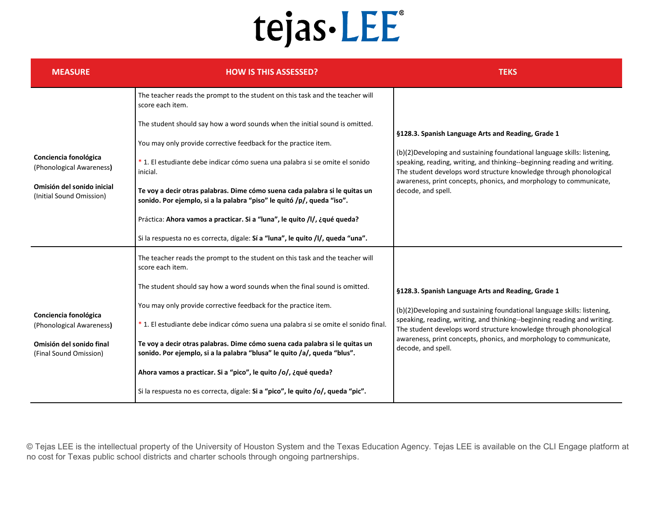| <b>MEASURE</b>                                                                                              | <b>HOW IS THIS ASSESSED?</b>                                                                                                                            | <b>TEKS</b>                                                                                                                                                                                                                                                                                                                                                                   |
|-------------------------------------------------------------------------------------------------------------|---------------------------------------------------------------------------------------------------------------------------------------------------------|-------------------------------------------------------------------------------------------------------------------------------------------------------------------------------------------------------------------------------------------------------------------------------------------------------------------------------------------------------------------------------|
|                                                                                                             | The teacher reads the prompt to the student on this task and the teacher will<br>score each item.                                                       | §128.3. Spanish Language Arts and Reading, Grade 1<br>(b)(2) Developing and sustaining foundational language skills: listening,<br>speaking, reading, writing, and thinking--beginning reading and writing.<br>The student develops word structure knowledge through phonological<br>awareness, print concepts, phonics, and morphology to communicate,<br>decode, and spell. |
|                                                                                                             | The student should say how a word sounds when the initial sound is omitted.                                                                             |                                                                                                                                                                                                                                                                                                                                                                               |
|                                                                                                             | You may only provide corrective feedback for the practice item.                                                                                         |                                                                                                                                                                                                                                                                                                                                                                               |
| Conciencia fonológica<br>(Phonological Awareness)<br>Omisión del sonido inicial<br>(Initial Sound Omission) | *1. El estudiante debe indicar cómo suena una palabra si se omite el sonido<br>inicial.                                                                 |                                                                                                                                                                                                                                                                                                                                                                               |
|                                                                                                             | Te voy a decir otras palabras. Dime cómo suena cada palabra si le quitas un<br>sonido. Por ejemplo, si a la palabra "piso" le quitó /p/, queda "iso".   |                                                                                                                                                                                                                                                                                                                                                                               |
|                                                                                                             | Práctica: Ahora vamos a practicar. Si a "luna", le quito /l/, ¿qué queda?                                                                               |                                                                                                                                                                                                                                                                                                                                                                               |
|                                                                                                             | Si la respuesta no es correcta, dígale: Sí a "luna", le quito /l/, queda "una".                                                                         |                                                                                                                                                                                                                                                                                                                                                                               |
| Conciencia fonológica<br>(Phonological Awareness)<br>Omisión del sonido final<br>(Final Sound Omission)     | The teacher reads the prompt to the student on this task and the teacher will<br>score each item.                                                       |                                                                                                                                                                                                                                                                                                                                                                               |
|                                                                                                             | The student should say how a word sounds when the final sound is omitted.                                                                               | §128.3. Spanish Language Arts and Reading, Grade 1                                                                                                                                                                                                                                                                                                                            |
|                                                                                                             | You may only provide corrective feedback for the practice item.                                                                                         | (b)(2) Developing and sustaining foundational language skills: listening,<br>speaking, reading, writing, and thinking--beginning reading and writing.<br>The student develops word structure knowledge through phonological<br>awareness, print concepts, phonics, and morphology to communicate,<br>decode, and spell.                                                       |
|                                                                                                             | * 1. El estudiante debe indicar cómo suena una palabra si se omite el sonido final.                                                                     |                                                                                                                                                                                                                                                                                                                                                                               |
|                                                                                                             | Te voy a decir otras palabras. Dime cómo suena cada palabra si le quitas un<br>sonido. Por ejemplo, si a la palabra "blusa" le quito /a/, queda "blus". |                                                                                                                                                                                                                                                                                                                                                                               |
|                                                                                                             | Ahora vamos a practicar. Si a "pico", le quito /o/, ¿qué queda?                                                                                         |                                                                                                                                                                                                                                                                                                                                                                               |
|                                                                                                             | Si la respuesta no es correcta, dígale: Si a "pico", le quito /o/, queda "pic".                                                                         |                                                                                                                                                                                                                                                                                                                                                                               |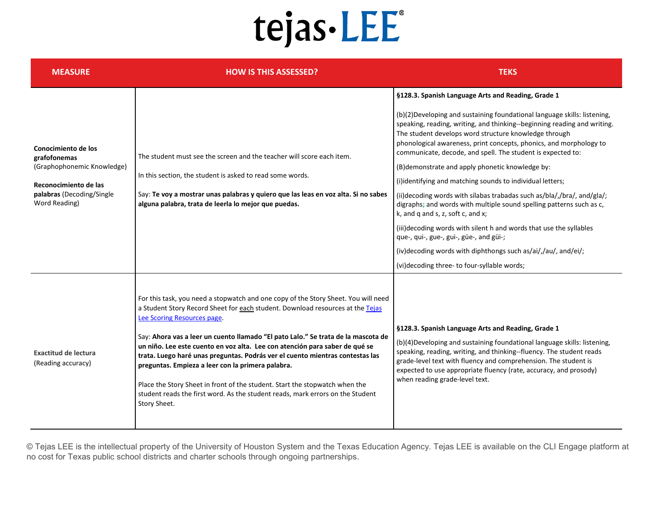| <b>MEASURE</b>                                                                                                                           | <b>HOW IS THIS ASSESSED?</b>                                                                                                                                                                                                                                                                                                                                                                                                                                                                                                                                                                                                                                                                   | <b>TEKS</b>                                                                                                                                                                                                                                                                                                                                                                                                                                                                                                                                                                                                                                                                                                                                                                                                                                                                                                                                         |
|------------------------------------------------------------------------------------------------------------------------------------------|------------------------------------------------------------------------------------------------------------------------------------------------------------------------------------------------------------------------------------------------------------------------------------------------------------------------------------------------------------------------------------------------------------------------------------------------------------------------------------------------------------------------------------------------------------------------------------------------------------------------------------------------------------------------------------------------|-----------------------------------------------------------------------------------------------------------------------------------------------------------------------------------------------------------------------------------------------------------------------------------------------------------------------------------------------------------------------------------------------------------------------------------------------------------------------------------------------------------------------------------------------------------------------------------------------------------------------------------------------------------------------------------------------------------------------------------------------------------------------------------------------------------------------------------------------------------------------------------------------------------------------------------------------------|
| Conocimiento de los<br>grafofonemas<br>(Graphophonemic Knowledge)<br>Reconocimiento de las<br>palabras (Decoding/Single<br>Word Reading) | The student must see the screen and the teacher will score each item.<br>In this section, the student is asked to read some words.<br>Say: Te voy a mostrar unas palabras y quiero que las leas en voz alta. Si no sabes<br>alguna palabra, trata de leerla lo mejor que puedas.                                                                                                                                                                                                                                                                                                                                                                                                               | §128.3. Spanish Language Arts and Reading, Grade 1<br>(b)(2) Developing and sustaining foundational language skills: listening,<br>speaking, reading, writing, and thinking--beginning reading and writing.<br>The student develops word structure knowledge through<br>phonological awareness, print concepts, phonics, and morphology to<br>communicate, decode, and spell. The student is expected to:<br>(B) demonstrate and apply phonetic knowledge by:<br>(i)identifying and matching sounds to individual letters;<br>(ii)decoding words with silabas trabadas such as/bla/,/bra/, and/gla/;<br>digraphs; and words with multiple sound spelling patterns such as c,<br>k, and q and s, z, soft c, and x;<br>(iii) decoding words with silent h and words that use the syllables<br>que-, qui-, gue-, gui-, güe-, and güi-;<br>(iv)decoding words with diphthongs such as/ai/,/au/, and/ei/;<br>(vi)decoding three- to four-syllable words; |
| <b>Exactitud de lectura</b><br>(Reading accuracy)                                                                                        | For this task, you need a stopwatch and one copy of the Story Sheet. You will need<br>a Student Story Record Sheet for each student. Download resources at the Tejas<br>Lee Scoring Resources page.<br>Say: Ahora vas a leer un cuento llamado "El pato Lalo." Se trata de la mascota de<br>un niño. Lee este cuento en voz alta. Lee con atención para saber de qué se<br>trata. Luego haré unas preguntas. Podrás ver el cuento mientras contestas las<br>preguntas. Empieza a leer con la primera palabra.<br>Place the Story Sheet in front of the student. Start the stopwatch when the<br>student reads the first word. As the student reads, mark errors on the Student<br>Story Sheet. | §128.3. Spanish Language Arts and Reading, Grade 1<br>(b)(4) Developing and sustaining foundational language skills: listening,<br>speaking, reading, writing, and thinking--fluency. The student reads<br>grade-level text with fluency and comprehension. The student is<br>expected to use appropriate fluency (rate, accuracy, and prosody)<br>when reading grade-level text.                                                                                                                                                                                                                                                                                                                                                                                                                                                                                                                                                                   |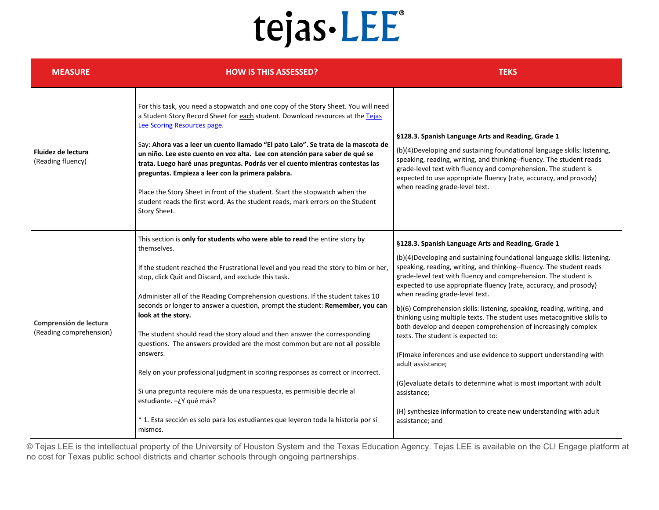| <b>MEASURE</b>                                    | <b>HOW IS THIS ASSESSED?</b>                                                                                                                                                                                                                                                                                                                                                                                                                                                                                                                                                                                                                                                                                                                                                                                                                                                                             | <b>TEKS</b>                                                                                                                                                                                                                                                                                                                                                                                                                                                                                                                                                                                                                                                                                                                                                                                                                                                                                                           |
|---------------------------------------------------|----------------------------------------------------------------------------------------------------------------------------------------------------------------------------------------------------------------------------------------------------------------------------------------------------------------------------------------------------------------------------------------------------------------------------------------------------------------------------------------------------------------------------------------------------------------------------------------------------------------------------------------------------------------------------------------------------------------------------------------------------------------------------------------------------------------------------------------------------------------------------------------------------------|-----------------------------------------------------------------------------------------------------------------------------------------------------------------------------------------------------------------------------------------------------------------------------------------------------------------------------------------------------------------------------------------------------------------------------------------------------------------------------------------------------------------------------------------------------------------------------------------------------------------------------------------------------------------------------------------------------------------------------------------------------------------------------------------------------------------------------------------------------------------------------------------------------------------------|
| Fluidez de lectura<br>(Reading fluency)           | For this task, you need a stopwatch and one copy of the Story Sheet. You will need<br>a Student Story Record Sheet for each student. Download resources at the Tejas<br>Lee Scoring Resources page.<br>Say: Ahora vas a leer un cuento llamado "El pato Lalo". Se trata de la mascota de<br>un niño. Lee este cuento en voz alta. Lee con atención para saber de qué se<br>trata. Luego haré unas preguntas. Podrás ver el cuento mientras contestas las<br>preguntas. Empieza a leer con la primera palabra.<br>Place the Story Sheet in front of the student. Start the stopwatch when the<br>student reads the first word. As the student reads, mark errors on the Student<br>Story Sheet.                                                                                                                                                                                                           | §128.3. Spanish Language Arts and Reading, Grade 1<br>(b)(4) Developing and sustaining foundational language skills: listening,<br>speaking, reading, writing, and thinking--fluency. The student reads<br>grade-level text with fluency and comprehension. The student is<br>expected to use appropriate fluency (rate, accuracy, and prosody)<br>when reading grade-level text.                                                                                                                                                                                                                                                                                                                                                                                                                                                                                                                                     |
| Comprensión de lectura<br>(Reading comprehension) | This section is only for students who were able to read the entire story by<br>themselves.<br>If the student reached the Frustrational level and you read the story to him or her,<br>stop, click Quit and Discard, and exclude this task.<br>Administer all of the Reading Comprehension questions. If the student takes 10<br>seconds or longer to answer a question, prompt the student: Remember, you can<br>look at the story.<br>The student should read the story aloud and then answer the corresponding<br>questions. The answers provided are the most common but are not all possible<br>answers.<br>Rely on your professional judgment in scoring responses as correct or incorrect.<br>Si una pregunta requiere más de una respuesta, es permisible decirle al<br>estudiante. -¿Y qué más?<br>* 1. Esta sección es solo para los estudiantes que leyeron toda la historia por sí<br>mismos. | §128.3. Spanish Language Arts and Reading, Grade 1<br>(b)(4) Developing and sustaining foundational language skills: listening,<br>speaking, reading, writing, and thinking--fluency. The student reads<br>grade-level text with fluency and comprehension. The student is<br>expected to use appropriate fluency (rate, accuracy, and prosody)<br>when reading grade-level text.<br>b)(6) Comprehension skills: listening, speaking, reading, writing, and<br>thinking using multiple texts. The student uses metacognitive skills to<br>both develop and deepen comprehension of increasingly complex<br>texts. The student is expected to:<br>(F)make inferences and use evidence to support understanding with<br>adult assistance;<br>(G) evaluate details to determine what is most important with adult<br>assistance;<br>(H) synthesize information to create new understanding with adult<br>assistance; and |